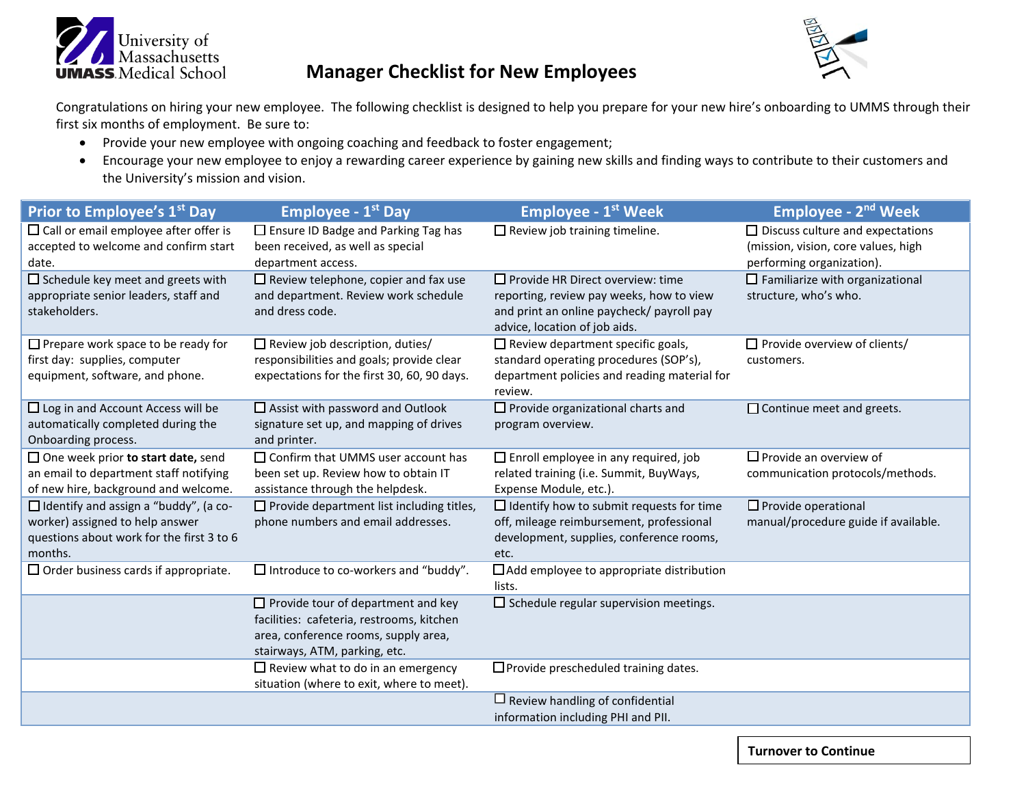

## **Manager Checklist for New Employees**

Congratulations on hiring your new employee. The following checklist is designed to help you prepare for your new hire's onboarding to UMMS through their first six months of employment. Be sure to:

- Provide your new employee with ongoing coaching and feedback to foster engagement;
- Encourage your new employee to enjoy a rewarding career experience by gaining new skills and finding ways to contribute to their customers and the University's mission and vision.

| Prior to Employee's 1 <sup>st</sup> Day                                                                                                 | <b>Employee - 1st Day</b>                                                                                                                                       | <b>Employee - 1st Week</b>                                                                                                                                        | <b>Employee - 2<sup>nd</sup> Week</b>                                                                       |
|-----------------------------------------------------------------------------------------------------------------------------------------|-----------------------------------------------------------------------------------------------------------------------------------------------------------------|-------------------------------------------------------------------------------------------------------------------------------------------------------------------|-------------------------------------------------------------------------------------------------------------|
| $\Box$ Call or email employee after offer is<br>accepted to welcome and confirm start<br>date.                                          | $\Box$ Ensure ID Badge and Parking Tag has<br>been received, as well as special<br>department access.                                                           | $\Box$ Review job training timeline.                                                                                                                              | $\Box$ Discuss culture and expectations<br>(mission, vision, core values, high<br>performing organization). |
| $\Box$ Schedule key meet and greets with<br>appropriate senior leaders, staff and<br>stakeholders.                                      | $\Box$ Review telephone, copier and fax use<br>and department. Review work schedule<br>and dress code.                                                          | $\Box$ Provide HR Direct overview: time<br>reporting, review pay weeks, how to view<br>and print an online paycheck/ payroll pay<br>advice, location of job aids. | $\Box$ Familiarize with organizational<br>structure, who's who.                                             |
| $\Box$ Prepare work space to be ready for<br>first day: supplies, computer<br>equipment, software, and phone.                           | $\Box$ Review job description, duties/<br>responsibilities and goals; provide clear<br>expectations for the first 30, 60, 90 days.                              | $\Box$ Review department specific goals,<br>standard operating procedures (SOP's),<br>department policies and reading material for<br>review.                     | $\Box$ Provide overview of clients/<br>customers.                                                           |
| $\Box$ Log in and Account Access will be<br>automatically completed during the<br>Onboarding process.                                   | $\Box$ Assist with password and Outlook<br>signature set up, and mapping of drives<br>and printer.                                                              | $\Box$ Provide organizational charts and<br>program overview.                                                                                                     | $\Box$ Continue meet and greets.                                                                            |
| $\Box$ One week prior to start date, send<br>an email to department staff notifying<br>of new hire, background and welcome.             | $\Box$ Confirm that UMMS user account has<br>been set up. Review how to obtain IT<br>assistance through the helpdesk.                                           | $\Box$ Enroll employee in any required, job<br>related training (i.e. Summit, BuyWays,<br>Expense Module, etc.).                                                  | $\Box$ Provide an overview of<br>communication protocols/methods.                                           |
| $\Box$ Identify and assign a "buddy", (a co-<br>worker) assigned to help answer<br>questions about work for the first 3 to 6<br>months. | $\Box$ Provide department list including titles,<br>phone numbers and email addresses.                                                                          | $\Box$ Identify how to submit requests for time<br>off, mileage reimbursement, professional<br>development, supplies, conference rooms,<br>etc.                   | $\Box$ Provide operational<br>manual/procedure guide if available.                                          |
| $\Box$ Order business cards if appropriate.                                                                                             | $\Box$ Introduce to co-workers and "buddy".                                                                                                                     | $\Box$ Add employee to appropriate distribution<br>lists.                                                                                                         |                                                                                                             |
|                                                                                                                                         | $\Box$ Provide tour of department and key<br>facilities: cafeteria, restrooms, kitchen<br>area, conference rooms, supply area,<br>stairways, ATM, parking, etc. | $\Box$ Schedule regular supervision meetings.                                                                                                                     |                                                                                                             |
|                                                                                                                                         | $\Box$ Review what to do in an emergency<br>situation (where to exit, where to meet).                                                                           | $\Box$ Provide prescheduled training dates.                                                                                                                       |                                                                                                             |
|                                                                                                                                         |                                                                                                                                                                 | $\Box$ Review handling of confidential<br>information including PHI and PII.                                                                                      |                                                                                                             |

**Turnover to Continue**